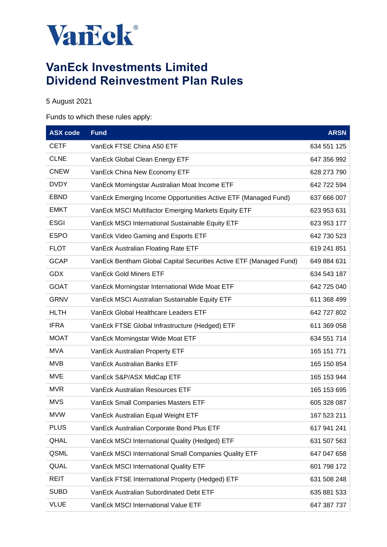

# **VanEck Investments Limited Dividend Reinvestment Plan Rules**

## 5 August 2021

### Funds to which these rules apply:

| <b>ASX</b> code | <b>Fund</b>                                                        | <b>ARSN</b> |
|-----------------|--------------------------------------------------------------------|-------------|
| CETF            | VanEck FTSE China A50 ETF                                          | 634 551 125 |
| <b>CLNE</b>     | VanEck Global Clean Energy ETF                                     | 647 356 992 |
| <b>CNEW</b>     | VanEck China New Economy ETF                                       | 628 273 790 |
| <b>DVDY</b>     | VanEck Morningstar Australian Moat Income ETF                      | 642 722 594 |
| <b>EBND</b>     | VanEck Emerging Income Opportunities Active ETF (Managed Fund)     | 637 666 007 |
| <b>EMKT</b>     | VanEck MSCI Multifactor Emerging Markets Equity ETF                | 623 953 631 |
| <b>ESGI</b>     | VanEck MSCI International Sustainable Equity ETF                   | 623 953 177 |
| <b>ESPO</b>     | VanEck Video Gaming and Esports ETF                                | 642 730 523 |
| <b>FLOT</b>     | VanEck Australian Floating Rate ETF                                | 619 241 851 |
| <b>GCAP</b>     | VanEck Bentham Global Capital Securities Active ETF (Managed Fund) | 649 884 631 |
| <b>GDX</b>      | <b>VanEck Gold Miners ETF</b>                                      | 634 543 187 |
| <b>GOAT</b>     | VanEck Morningstar International Wide Moat ETF                     | 642 725 040 |
| <b>GRNV</b>     | VanEck MSCI Australian Sustainable Equity ETF                      | 611 368 499 |
| <b>HLTH</b>     | VanEck Global Healthcare Leaders ETF                               | 642 727 802 |
| <b>IFRA</b>     | VanEck FTSE Global Infrastructure (Hedged) ETF                     | 611 369 058 |
| <b>MOAT</b>     | VanEck Morningstar Wide Moat ETF                                   | 634 551 714 |
| <b>MVA</b>      | 165 151 771<br>VanEck Australian Property ETF                      |             |
| <b>MVB</b>      | VanEck Australian Banks ETF<br>165 150 854                         |             |
| <b>MVE</b>      | VanEck S&P/ASX MidCap ETF                                          | 165 153 944 |
| <b>MVR</b>      | VanEck Australian Resources ETF                                    | 165 153 695 |
| <b>MVS</b>      | VanEck Small Companies Masters ETF                                 | 605 328 087 |
| MVW             | VanEck Australian Equal Weight ETF                                 | 167 523 211 |
| <b>PLUS</b>     | VanEck Australian Corporate Bond Plus ETF                          | 617 941 241 |
| QHAL            | VanEck MSCI International Quality (Hedged) ETF                     | 631 507 563 |
| QSML            | VanEck MSCI International Small Companies Quality ETF              | 647 047 658 |
| QUAL            | VanEck MSCI International Quality ETF                              | 601 798 172 |
| <b>REIT</b>     | VanEck FTSE International Property (Hedged) ETF                    | 631 508 248 |
| <b>SUBD</b>     | VanEck Australian Subordinated Debt ETF                            | 635 881 533 |
| <b>VLUE</b>     | VanEck MSCI International Value ETF                                | 647 387 737 |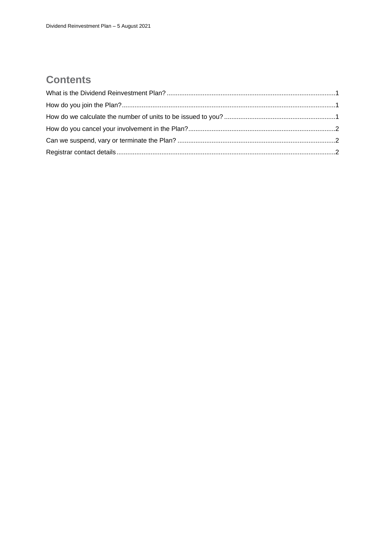## **Contents**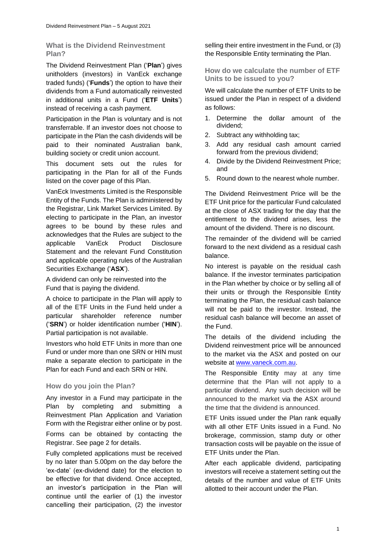<span id="page-2-0"></span>**What is the Dividend Reinvestment Plan?**

The Dividend Reinvestment Plan ('**Plan**') gives unitholders (investors) in VanEck exchange traded funds) ('**Funds**') the option to have their dividends from a Fund automatically reinvested in additional units in a Fund ('**ETF Units**') instead of receiving a cash payment.

Participation in the Plan is voluntary and is not transferrable. If an investor does not choose to participate in the Plan the cash dividends will be paid to their nominated Australian bank, building society or credit union account.

This document sets out the rules for participating in the Plan for all of the Funds listed on the cover page of this Plan.

VanEck Investments Limited is the Responsible Entity of the Funds. The Plan is administered by the Registrar, Link Market Services Limited. By electing to participate in the Plan, an investor agrees to be bound by these rules and acknowledges that the Rules are subject to the applicable VanEck Product Disclosure Statement and the relevant Fund Constitution and applicable operating rules of the Australian Securities Exchange ('**ASX**').

A dividend can only be reinvested into the Fund that is paying the dividend.

A choice to participate in the Plan will apply to all of the ETF Units in the Fund held under a particular shareholder reference number ('**SRN**') or holder identification number ('**HIN**'). Partial participation is not available.

Investors who hold ETF Units in more than one Fund or under more than one SRN or HIN must make a separate election to participate in the Plan for each Fund and each SRN or HIN.

### <span id="page-2-1"></span>**How do you join the Plan?**

Any investor in a Fund may participate in the Plan by completing and submitting a Reinvestment Plan Application and Variation Form with the Registrar either online or by post.

Forms can be obtained by contacting the Registrar. See page 2 for details.

Fully completed applications must be received by no later than 5.00pm on the day before the 'ex-date' (ex-dividend date) for the election to be effective for that dividend. Once accepted, an investor's participation in the Plan will continue until the earlier of (1) the investor cancelling their participation, (2) the investor

selling their entire investment in the Fund, or (3) the Responsible Entity terminating the Plan.

<span id="page-2-2"></span>**How do we calculate the number of ETF Units to be issued to you?**

We will calculate the number of ETF Units to be issued under the Plan in respect of a dividend as follows:

- 1. Determine the dollar amount of the dividend;
- 2. Subtract any withholding tax;
- 3. Add any residual cash amount carried forward from the previous dividend;
- 4. Divide by the Dividend Reinvestment Price; and
- 5. Round down to the nearest whole number.

The Dividend Reinvestment Price will be the ETF Unit price for the particular Fund calculated at the close of ASX trading for the day that the entitlement to the dividend arises, less the amount of the dividend. There is no discount.

The remainder of the dividend will be carried forward to the next dividend as a residual cash balance.

No interest is payable on the residual cash balance. If the investor terminates participation in the Plan whether by choice or by selling all of their units or through the Responsible Entity terminating the Plan, the residual cash balance will not be paid to the investor. Instead, the residual cash balance will become an asset of the Fund.

The details of the dividend including the Dividend reinvestment price will be announced to the market via the ASX and posted on our website at [www.vaneck.com.au.](http://www.vaneck.com.au/)

The Responsible Entity may at any time determine that the Plan will not apply to a particular dividend. Any such decision will be announced to the market via the ASX around the time that the dividend is announced.

ETF Units issued under the Plan rank equally with all other ETF Units issued in a Fund. No brokerage, commission, stamp duty or other transaction costs will be payable on the issue of ETF Units under the Plan.

After each applicable dividend, participating investors will receive a statement setting out the details of the number and value of ETF Units allotted to their account under the Plan.